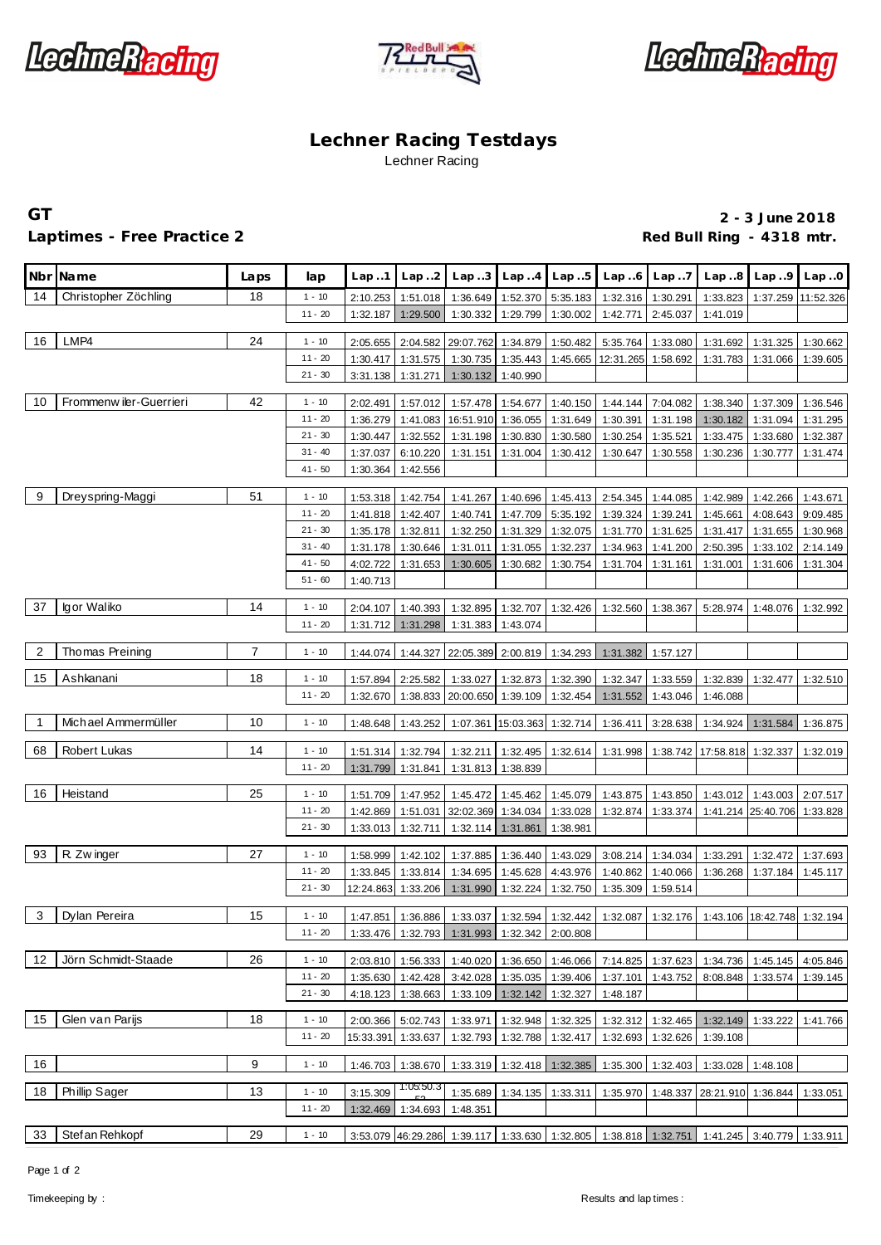





### **Lechner Racing Testdays** Lechner Racing

### Laptimes - Free Practice 2 *Red Bull Ring - 4318 mtr.* **Red Bull Ring - 4318 mtr.**

# **GT 2 - 3 June 2018**

|                | Nbr Name                | Laps           | lap                   | Lap.1                                                                                                                              | Lap.2                | Lap.3                                        | Lap.4                      | Lap.5                | Lap.6                | Lap.7                      | Lap.8                                                                                      | Lap.9                | Lap.0                |
|----------------|-------------------------|----------------|-----------------------|------------------------------------------------------------------------------------------------------------------------------------|----------------------|----------------------------------------------|----------------------------|----------------------|----------------------|----------------------------|--------------------------------------------------------------------------------------------|----------------------|----------------------|
| 14             | Christopher Zöchling    | 18             | $1 - 10$              | 2:10.253                                                                                                                           | 1:51.018             | 1:36.649                                     | 1:52.370                   | 5:35.183             | 1:32.316             | 1:30.291                   | 1:33.823                                                                                   |                      | 1:37.259 11:52.326   |
|                |                         |                | $11 - 20$             | 1:32.187                                                                                                                           | 1:29.500             | 1:30.332                                     | 1:29.799                   | 1:30.002             | 1:42.771             | 2:45.037                   | 1:41.019                                                                                   |                      |                      |
| 16             | LMP4                    | 24             | $1 - 10$              | 2:05.655                                                                                                                           | 2:04.582             | 29:07.762                                    | 1:34.879                   | 1:50.482             | 5:35.764             | 1:33.080                   | 1:31.692                                                                                   | 1:31.325             | 1:30.662             |
|                |                         |                | $11 - 20$             | 1:30.417                                                                                                                           | 1:31.575             | 1:30.735                                     | 1:35.443                   |                      | 1:45.665 12:31.265   | 1:58.692                   | 1:31.783                                                                                   | 1:31.066             | 1:39.605             |
|                |                         |                | $21 - 30$             | 3:31.138                                                                                                                           | 1:31.271             | 1:30.132                                     | 1:40.990                   |                      |                      |                            |                                                                                            |                      |                      |
| 10             | Frommenw iler-Guerrieri | 42             | $1 - 10$              |                                                                                                                                    |                      |                                              |                            |                      |                      |                            |                                                                                            |                      |                      |
|                |                         |                | $11 - 20$             | 2:02.491<br>1:36.279                                                                                                               | 1:57.012<br>1:41.083 | 1:57.478<br>16:51.910 1:36.055               | 1:54.677                   | 1:40.150<br>1:31.649 | 1:44.144<br>1:30.391 | 7:04.082<br>1:31.198       | 1:38.340<br>1:30.182                                                                       | 1:37.309<br>1:31.094 | 1:36.546<br>1:31.295 |
|                |                         |                | $21 - 30$             | 1:30.447                                                                                                                           | 1:32.552             | 1:31.198                                     | 1:30.830                   | 1:30.580             | 1:30.254             | 1:35.521                   | 1:33.475                                                                                   | 1:33.680             | 1:32.387             |
|                |                         |                | $31 - 40$             | 1:37.037                                                                                                                           | 6:10.220             | 1:31.151                                     | 1:31.004                   | 1:30.412             | 1:30.647             | 1:30.558                   | 1:30.236                                                                                   | 1:30.777             | 1:31.474             |
|                |                         |                | $41 - 50$             | 1:30.364                                                                                                                           | 1:42.556             |                                              |                            |                      |                      |                            |                                                                                            |                      |                      |
| 9              | Dreyspring-Maggi        | 51             | $1 - 10$              | 1:53.318                                                                                                                           | 1:42.754             | 1:41.267                                     | 1:40.696                   | 1:45.413             | 2:54.345             | 1:44.085                   | 1:42.989                                                                                   | 1:42.266             | 1:43.671             |
|                |                         |                | $11 - 20$             | 1:41.818                                                                                                                           | 1:42.407             | 1:40.741                                     | 1:47.709                   | 5:35.192             | 1:39.324             | 1:39.241                   | 1:45.661                                                                                   | 4:08.643             | 9:09.485             |
|                |                         |                | $21 - 30$             | 1:35.178                                                                                                                           | 1:32.811             | 1:32.250                                     | 1:31.329                   | 1:32.075             | 1:31.770             | 1:31.625                   | 1:31.417                                                                                   | 1:31.655             | 1:30.968             |
|                |                         |                | $31 - 40$             | 1:31.178                                                                                                                           | 1:30.646             | 1:31.011                                     | 1:31.055                   | 1:32.237             | 1:34.963             | 1:41.200                   | 2:50.395                                                                                   | 1:33.102             | 2:14.149             |
|                |                         |                | $41 - 50$             | 4:02.722                                                                                                                           | 1:31.653             | 1:30.605                                     | 1:30.682                   | 1:30.754             | 1:31.704             | 1:31.161                   | 1:31.001                                                                                   | 1:31.606             | 1:31.304             |
|                |                         |                | $51 - 60$             | 1:40.713                                                                                                                           |                      |                                              |                            |                      |                      |                            |                                                                                            |                      |                      |
| 37             | Igor Waliko             | 14             | $1 - 10$              | 2:04.107                                                                                                                           | 1:40.393             | 1:32.895                                     | 1:32.707                   | 1:32.426             | 1:32.560             | 1:38.367                   | 5:28.974                                                                                   | 1:48.076             | 1:32.992             |
|                |                         |                | $11 - 20$             | 1:31.712                                                                                                                           | 1:31.298             | 1:31.383                                     | 1:43.074                   |                      |                      |                            |                                                                                            |                      |                      |
| $\overline{2}$ | Thomas Preining         | $\overline{7}$ | $1 - 10$              | 1:44.074                                                                                                                           | 1:44.327             | 22:05.389 2:00.819                           |                            | 1:34.293             | 1:31.382             | 1:57.127                   |                                                                                            |                      |                      |
|                |                         |                |                       |                                                                                                                                    |                      |                                              |                            |                      |                      |                            |                                                                                            |                      |                      |
| 15             | Ashkanani               | 18             | $1 - 10$              | 1:57.894                                                                                                                           | 2:25.582             | 1:33.027                                     | 1:32.873                   | 1:32.390             | 1:32.347             | 1:33.559                   | 1:32.839                                                                                   | 1:32.477             | 1:32.510             |
|                |                         |                | $11 - 20$             | 1:32.670                                                                                                                           | 1:38.833             | 20:00.650                                    | 1:39.109                   | 1:32.454             | 1:31.552             | 1:43.046                   | 1:46.088                                                                                   |                      |                      |
| $\mathbf{1}$   | Michael Ammermüller     | 10             | $1 - 10$              | 1:48.648                                                                                                                           | 1:43.252             | 1:07.361                                     | 15:03.363                  | 1:32.714             | 1:36.411             | 3:28.638                   | 1:34.924                                                                                   | 1:31.584             | 1:36.875             |
| 68             | Robert Lukas            | 14             | $1 - 10$              | 1:51.314                                                                                                                           | 1:32.794             | 1:32.211                                     | 1:32.495                   | 1:32.614             | 1:31.998             | 1:38.742                   | 17:58.818 1:32.337                                                                         |                      | 1:32.019             |
|                |                         |                | $11 - 20$             | 1:31.799                                                                                                                           | 1:31.841             | 1:31.813                                     | 1:38.839                   |                      |                      |                            |                                                                                            |                      |                      |
| 16             | Heistand                | 25             | $1 - 10$              | 1:51.709                                                                                                                           | 1:47.952             | 1:45.472                                     | 1:45.462                   | 1:45.079             | 1:43.875             | 1:43.850                   | 1:43.012                                                                                   | 1:43.003             | 2:07.517             |
|                |                         |                | $11 - 20$             | 1:42.869                                                                                                                           | 1:51.031             | 32:02.369                                    | 1:34.034                   | 1:33.028             | 1:32.874             | 1:33.374                   | 1:41.214                                                                                   | 25:40.706            | 1:33.828             |
|                |                         |                | $21 - 30$             | 1:33.013                                                                                                                           | 1:32.711             | 1:32.114                                     | 1:31.861                   | 1:38.981             |                      |                            |                                                                                            |                      |                      |
| 93             | R. Zw inger             | 27             | $1 - 10$              | 1:58.999                                                                                                                           | 1:42.102             | 1:37.885                                     | 1:36.440                   | 1:43.029             | 3:08.214             | 1:34.034                   | 1:33.291                                                                                   | 1:32.472             | 1:37.693             |
|                |                         |                | $11 - 20$             | 1:33.845                                                                                                                           | 1:33.814             | 1:34.695                                     | 1:45.628                   | 4:43.976             | 1:40.862             | 1:40.066                   | 1:36.268                                                                                   | 1:37.184             | 1:45.117             |
|                |                         |                | $21 - 30$             | 12:24.863                                                                                                                          | 1:33.206             | 1:31.990                                     | 1:32.224                   | 1:32.750             | 1:35.309             | 1:59.514                   |                                                                                            |                      |                      |
|                |                         |                |                       |                                                                                                                                    |                      |                                              |                            |                      |                      |                            |                                                                                            |                      |                      |
| 3 <sup>1</sup> | Dylan Pereira           | 15             | $1 - 10$<br>$11 - 20$ | $\vert$ 1:47.851 $\vert$ 1:36.886 $\vert$ 1:33.037 $\vert$ 1:32.594 $\vert$ 1:32.442 1:32.087 1:32.176 1:43.106 18:42.748 1:32.194 |                      | 1:33.476 1:32.793 1:31.993 1:32.342 2:00.808 |                            |                      |                      |                            |                                                                                            |                      |                      |
|                |                         |                |                       |                                                                                                                                    |                      |                                              |                            |                      |                      |                            |                                                                                            |                      |                      |
| 12             | Jörn Schmidt-Staade     | 26             | $1 - 10$              |                                                                                                                                    | 2:03.810 1:56.333    |                                              | 1:40.020 1:36.650          | 1:46.066             |                      | 7:14.825 1:37.623 1:34.736 |                                                                                            | 1:45.145             | 4:05.846             |
|                |                         |                | $11 - 20$             |                                                                                                                                    | 1:35.630 1:42.428    |                                              | 3:42.028 1:35.035 1:39.406 |                      |                      |                            | 1:37.101   1:43.752   8:08.848   1:33.574   1:39.145                                       |                      |                      |
|                |                         |                | $21 - 30$             |                                                                                                                                    | 4:18.123 1:38.663    |                                              | 1:33.109 1:32.142          | 1:32.327             | 1:48.187             |                            |                                                                                            |                      |                      |
| 15             | Glen van Parijs         | 18             | $1 - 10$              | 2:00.366                                                                                                                           | 5:02.743             | 1:33.971                                     | 1:32.948                   | 1:32.325             | 1:32.312             |                            | 1:32.465 1:32.149 1:33.222                                                                 |                      | 1:41.766             |
|                |                         |                | $11 - 20$             | 15:33.391                                                                                                                          | 1:33.637             | 1:32.793                                     | 1:32.788                   | 1:32.417             | 1:32.693             | 1:32.626                   | 1:39.108                                                                                   |                      |                      |
| 16             |                         | 9              | $1 - 10$              | 1:46.703                                                                                                                           | 1:38.670             |                                              | 1:33.319 1:32.418 1:32.385 |                      | 1:35.300             | 1:32.403                   | 1:33.028                                                                                   | 1:48.108             |                      |
|                |                         |                |                       |                                                                                                                                    | 1:05:50.3            |                                              |                            |                      |                      |                            |                                                                                            |                      |                      |
| 18             | Phillip Sager           | 13             | $1 - 10$              | 3:15.309                                                                                                                           |                      |                                              | 1:35.689 1:34.135 1:33.311 |                      | 1:35.970             |                            | 1:48.337 28:21.910 1:36.844 1:33.051                                                       |                      |                      |
|                |                         |                | $11 - 20$             | 1:32.469                                                                                                                           | 1:34.693             | 1:48.351                                     |                            |                      |                      |                            |                                                                                            |                      |                      |
| 33             | Stef an Rehkopf         | 29             | $1 - 10$              |                                                                                                                                    |                      |                                              |                            |                      |                      |                            | 3:53.079 46:29.286 1:39.117 1:33.630 1:32.805 1:38.818 1:32.751 1:41.245 3:40.779 1:33.911 |                      |                      |